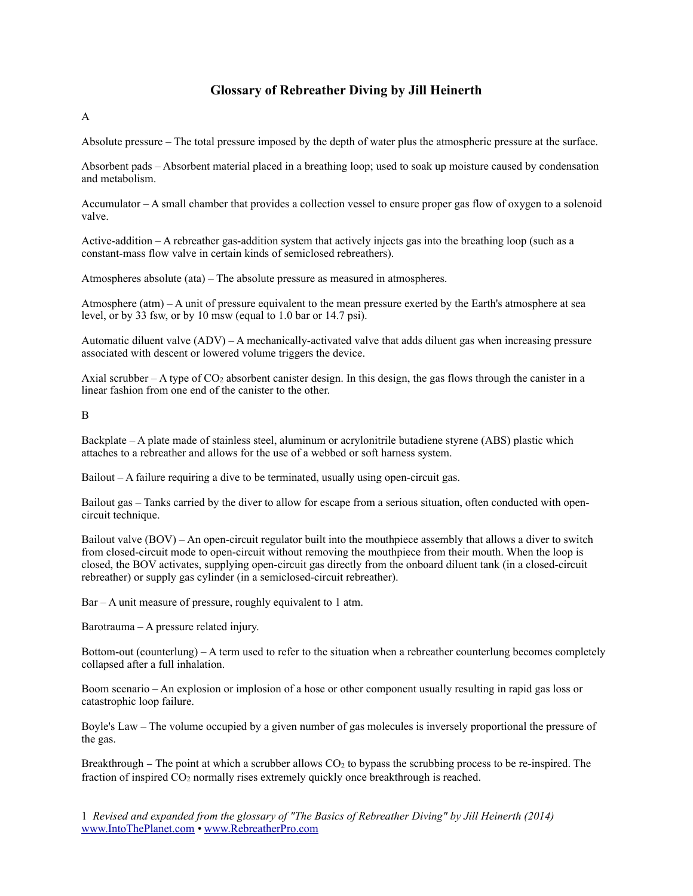# **Glossary of Rebreather Diving by Jill Heinerth**

A

Absolute pressure – The total pressure imposed by the depth of water plus the atmospheric pressure at the surface.

Absorbent pads – Absorbent material placed in a breathing loop; used to soak up moisture caused by condensation and metabolism.

Accumulator – A small chamber that provides a collection vessel to ensure proper gas flow of oxygen to a solenoid valve.

Active-addition – A rebreather gas-addition system that actively injects gas into the breathing loop (such as a constant-mass flow valve in certain kinds of semiclosed rebreathers).

Atmospheres absolute (ata) – The absolute pressure as measured in atmospheres.

Atmosphere (atm) – A unit of pressure equivalent to the mean pressure exerted by the Earth's atmosphere at sea level, or by 33 fsw, or by 10 msw (equal to 1.0 bar or 14.7 psi).

Automatic diluent valve (ADV) – A mechanically-activated valve that adds diluent gas when increasing pressure associated with descent or lowered volume triggers the device.

Axial scrubber – A type of  $CO<sub>2</sub>$  absorbent canister design. In this design, the gas flows through the canister in a linear fashion from one end of the canister to the other.

B

Backplate – A plate made of stainless steel, aluminum or acrylonitrile butadiene styrene (ABS) plastic which attaches to a rebreather and allows for the use of a webbed or soft harness system.

Bailout – A failure requiring a dive to be terminated, usually using open-circuit gas.

Bailout gas – Tanks carried by the diver to allow for escape from a serious situation, often conducted with opencircuit technique.

Bailout valve (BOV) – An open-circuit regulator built into the mouthpiece assembly that allows a diver to switch from closed-circuit mode to open-circuit without removing the mouthpiece from their mouth. When the loop is closed, the BOV activates, supplying open-circuit gas directly from the onboard diluent tank (in a closed-circuit rebreather) or supply gas cylinder (in a semiclosed-circuit rebreather).

Bar – A unit measure of pressure, roughly equivalent to 1 atm.

Barotrauma – A pressure related injury.

Bottom-out (counterlung) – A term used to refer to the situation when a rebreather counterlung becomes completely collapsed after a full inhalation.

Boom scenario – An explosion or implosion of a hose or other component usually resulting in rapid gas loss or catastrophic loop failure.

Boyle's Law – The volume occupied by a given number of gas molecules is inversely proportional the pressure of the gas.

Breakthrough – The point at which a scrubber allows  $CO<sub>2</sub>$  to bypass the scrubbing process to be re-inspired. The fraction of inspired CO2 normally rises extremely quickly once breakthrough is reached.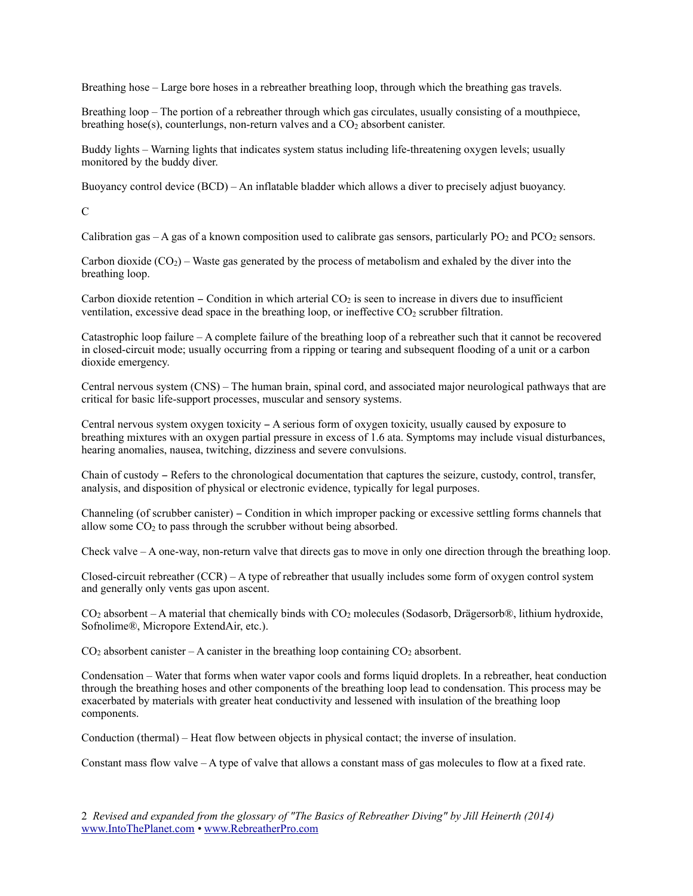Breathing hose – Large bore hoses in a rebreather breathing loop, through which the breathing gas travels.

Breathing loop – The portion of a rebreather through which gas circulates, usually consisting of a mouthpiece, breathing hose(s), counterlungs, non-return valves and a  $CO<sub>2</sub>$  absorbent canister.

Buddy lights – Warning lights that indicates system status including life-threatening oxygen levels; usually monitored by the buddy diver.

Buoyancy control device (BCD) – An inflatable bladder which allows a diver to precisely adjust buoyancy.

C

Calibration gas – A gas of a known composition used to calibrate gas sensors, particularly  $PO_2$  and  $PCO_2$  sensors.

Carbon dioxide  $(CO<sub>2</sub>)$  – Waste gas generated by the process of metabolism and exhaled by the diver into the breathing loop.

Carbon dioxide retention – Condition in which arterial CO<sub>2</sub> is seen to increase in divers due to insufficient ventilation, excessive dead space in the breathing loop, or ineffective  $CO<sub>2</sub>$  scrubber filtration.

Catastrophic loop failure – A complete failure of the breathing loop of a rebreather such that it cannot be recovered in closed-circuit mode; usually occurring from a ripping or tearing and subsequent flooding of a unit or a carbon dioxide emergency.

Central nervous system (CNS) – The human brain, spinal cord, and associated major neurological pathways that are critical for basic life-support processes, muscular and sensory systems.

Central nervous system oxygen toxicity − A serious form of oxygen toxicity, usually caused by exposure to breathing mixtures with an oxygen partial pressure in excess of 1.6 ata. Symptoms may include visual disturbances, hearing anomalies, nausea, twitching, dizziness and severe convulsions.

Chain of custody − Refers to the chronological documentation that captures the seizure, custody, control, transfer, analysis, and disposition of physical or electronic evidence, typically for legal purposes.

Channeling (of scrubber canister) − Condition in which improper packing or excessive settling forms channels that allow some  $CO<sub>2</sub>$  to pass through the scrubber without being absorbed.

Check valve – A one-way, non-return valve that directs gas to move in only one direction through the breathing loop.

Closed-circuit rebreather (CCR) – A type of rebreather that usually includes some form of oxygen control system and generally only vents gas upon ascent.

CO2 absorbent – A material that chemically binds with CO2 molecules (Sodasorb, Drägersorb®, lithium hydroxide, Sofnolime®, Micropore ExtendAir, etc.).

 $CO<sub>2</sub>$  absorbent canister – A canister in the breathing loop containing  $CO<sub>2</sub>$  absorbent.

Condensation – Water that forms when water vapor cools and forms liquid droplets. In a rebreather, heat conduction through the breathing hoses and other components of the breathing loop lead to condensation. This process may be exacerbated by materials with greater heat conductivity and lessened with insulation of the breathing loop components.

Conduction (thermal) – Heat flow between objects in physical contact; the inverse of insulation.

Constant mass flow valve – A type of valve that allows a constant mass of gas molecules to flow at a fixed rate.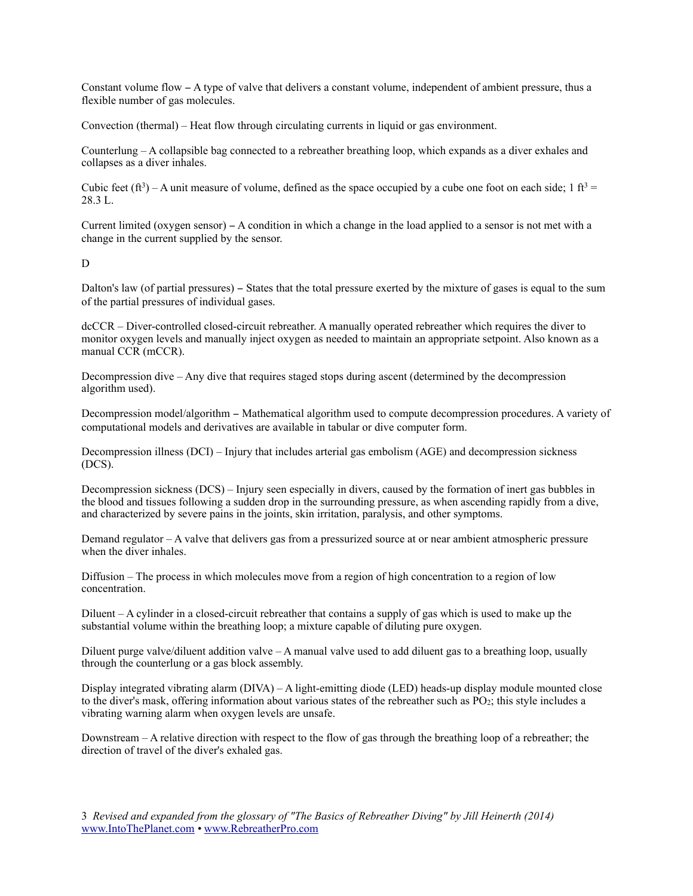Constant volume flow − A type of valve that delivers a constant volume, independent of ambient pressure, thus a flexible number of gas molecules.

Convection (thermal) – Heat flow through circulating currents in liquid or gas environment.

Counterlung – A collapsible bag connected to a rebreather breathing loop, which expands as a diver exhales and collapses as a diver inhales.

Cubic feet  $(ft^3)$  – A unit measure of volume, defined as the space occupied by a cube one foot on each side; 1  $ft^3$  = 28.3 L.

Current limited (oxygen sensor) − A condition in which a change in the load applied to a sensor is not met with a change in the current supplied by the sensor.

# D

Dalton's law (of partial pressures) − States that the total pressure exerted by the mixture of gases is equal to the sum of the partial pressures of individual gases.

dcCCR – Diver-controlled closed-circuit rebreather. A manually operated rebreather which requires the diver to monitor oxygen levels and manually inject oxygen as needed to maintain an appropriate setpoint. Also known as a manual CCR (mCCR).

Decompression dive – Any dive that requires staged stops during ascent (determined by the decompression algorithm used).

Decompression model/algorithm − Mathematical algorithm used to compute decompression procedures. A variety of computational models and derivatives are available in tabular or dive computer form.

Decompression illness (DCI) – Injury that includes arterial gas embolism (AGE) and decompression sickness (DCS).

Decompression sickness (DCS) – Injury seen especially in divers, caused by the formation of inert gas bubbles in the blood and tissues following a sudden drop in the surrounding pressure, as when ascending rapidly from a dive, and characterized by severe pains in the joints, skin irritation, paralysis, and other symptoms.

Demand regulator – A valve that delivers gas from a pressurized source at or near ambient atmospheric pressure when the diver inhales.

Diffusion – The process in which molecules move from a region of high concentration to a region of low concentration.

Diluent – A cylinder in a closed-circuit rebreather that contains a supply of gas which is used to make up the substantial volume within the breathing loop; a mixture capable of diluting pure oxygen.

Diluent purge valve/diluent addition valve – A manual valve used to add diluent gas to a breathing loop, usually through the counterlung or a gas block assembly.

Display integrated vibrating alarm (DIVA) – A light-emitting diode (LED) heads-up display module mounted close to the diver's mask, offering information about various states of the rebreather such as PO<sub>2</sub>; this style includes a vibrating warning alarm when oxygen levels are unsafe.

Downstream – A relative direction with respect to the flow of gas through the breathing loop of a rebreather; the direction of travel of the diver's exhaled gas.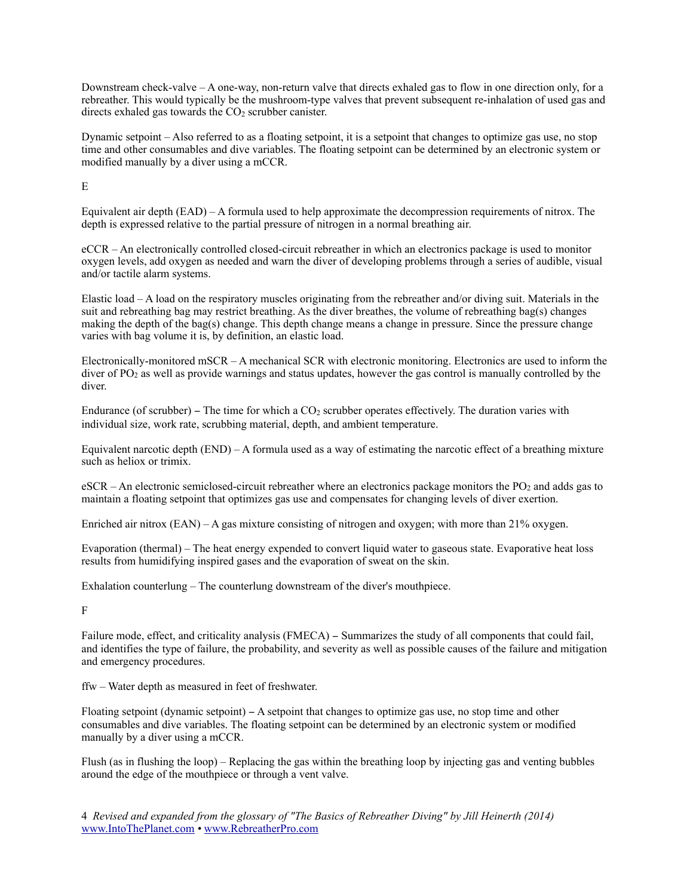Downstream check-valve – A one-way, non-return valve that directs exhaled gas to flow in one direction only, for a rebreather. This would typically be the mushroom-type valves that prevent subsequent re-inhalation of used gas and directs exhaled gas towards the  $CO<sub>2</sub>$  scrubber canister.

Dynamic setpoint – Also referred to as a floating setpoint, it is a setpoint that changes to optimize gas use, no stop time and other consumables and dive variables. The floating setpoint can be determined by an electronic system or modified manually by a diver using a mCCR.

E

Equivalent air depth (EAD) – A formula used to help approximate the decompression requirements of nitrox. The depth is expressed relative to the partial pressure of nitrogen in a normal breathing air.

eCCR – An electronically controlled closed-circuit rebreather in which an electronics package is used to monitor oxygen levels, add oxygen as needed and warn the diver of developing problems through a series of audible, visual and/or tactile alarm systems.

Elastic load – A load on the respiratory muscles originating from the rebreather and/or diving suit. Materials in the suit and rebreathing bag may restrict breathing. As the diver breathes, the volume of rebreathing bag(s) changes making the depth of the bag(s) change. This depth change means a change in pressure. Since the pressure change varies with bag volume it is, by definition, an elastic load.

Electronically-monitored mSCR – A mechanical SCR with electronic monitoring. Electronics are used to inform the diver of PO<sub>2</sub> as well as provide warnings and status updates, however the gas control is manually controlled by the diver.

Endurance (of scrubber) – The time for which a  $CO<sub>2</sub>$  scrubber operates effectively. The duration varies with individual size, work rate, scrubbing material, depth, and ambient temperature.

Equivalent narcotic depth (END) – A formula used as a way of estimating the narcotic effect of a breathing mixture such as heliox or trimix.

 $eSCR - An electronic semiclosed-circuit rebreather where an electronics package monitors the PO<sub>2</sub> and adds gas to$ maintain a floating setpoint that optimizes gas use and compensates for changing levels of diver exertion.

Enriched air nitrox (EAN) – A gas mixture consisting of nitrogen and oxygen; with more than 21% oxygen.

Evaporation (thermal) – The heat energy expended to convert liquid water to gaseous state. Evaporative heat loss results from humidifying inspired gases and the evaporation of sweat on the skin.

Exhalation counterlung – The counterlung downstream of the diver's mouthpiece.

F

Failure mode, effect, and criticality analysis (FMECA) − Summarizes the study of all components that could fail, and identifies the type of failure, the probability, and severity as well as possible causes of the failure and mitigation and emergency procedures.

ffw – Water depth as measured in feet of freshwater.

Floating setpoint (dynamic setpoint) − A setpoint that changes to optimize gas use, no stop time and other consumables and dive variables. The floating setpoint can be determined by an electronic system or modified manually by a diver using a mCCR.

Flush (as in flushing the loop) – Replacing the gas within the breathing loop by injecting gas and venting bubbles around the edge of the mouthpiece or through a vent valve.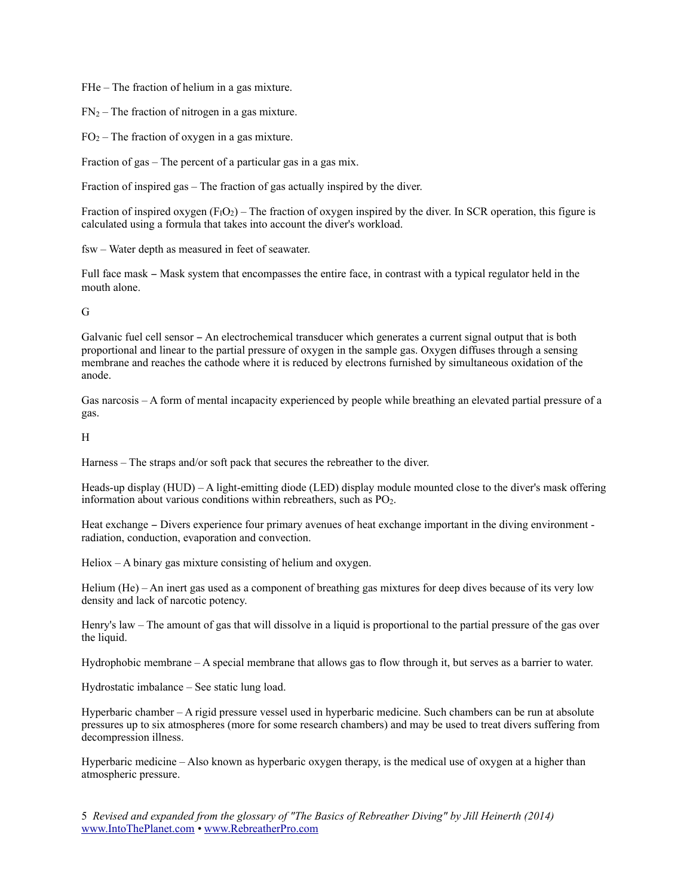FHe – The fraction of helium in a gas mixture.

 $FN<sub>2</sub> - The fraction of nitrogen in a gas mixture.$ 

 $FO<sub>2</sub>$  – The fraction of oxygen in a gas mixture.

Fraction of gas – The percent of a particular gas in a gas mix.

Fraction of inspired gas – The fraction of gas actually inspired by the diver.

Fraction of inspired oxygen  $(F_1O_2)$  – The fraction of oxygen inspired by the diver. In SCR operation, this figure is calculated using a formula that takes into account the diver's workload.

fsw – Water depth as measured in feet of seawater.

Full face mask − Mask system that encompasses the entire face, in contrast with a typical regulator held in the mouth alone.

G

Galvanic fuel cell sensor − An electrochemical transducer which generates a current signal output that is both proportional and linear to the partial pressure of oxygen in the sample gas. Oxygen diffuses through a sensing membrane and reaches the cathode where it is reduced by electrons furnished by simultaneous oxidation of the anode.

Gas narcosis – A form of mental incapacity experienced by people while breathing an elevated partial pressure of a gas.

H

Harness – The straps and/or soft pack that secures the rebreather to the diver.

Heads-up display (HUD) – A light-emitting diode (LED) display module mounted close to the diver's mask offering information about various conditions within rebreathers, such as  $PO<sub>2</sub>$ .

Heat exchange – Divers experience four primary avenues of heat exchange important in the diving environment radiation, conduction, evaporation and convection.

Heliox – A binary gas mixture consisting of helium and oxygen.

Helium (He) – An inert gas used as a component of breathing gas mixtures for deep dives because of its very low density and lack of narcotic potency.

Henry's law – The amount of gas that will dissolve in a liquid is proportional to the partial pressure of the gas over the liquid.

Hydrophobic membrane – A special membrane that allows gas to flow through it, but serves as a barrier to water.

Hydrostatic imbalance – See static lung load.

Hyperbaric chamber – A rigid pressure vessel used in hyperbaric medicine. Such chambers can be run at absolute pressures up to six atmospheres (more for some research chambers) and may be used to treat divers suffering from decompression illness.

Hyperbaric medicine – Also known as hyperbaric oxygen therapy, is the medical use of oxygen at a higher than atmospheric pressure.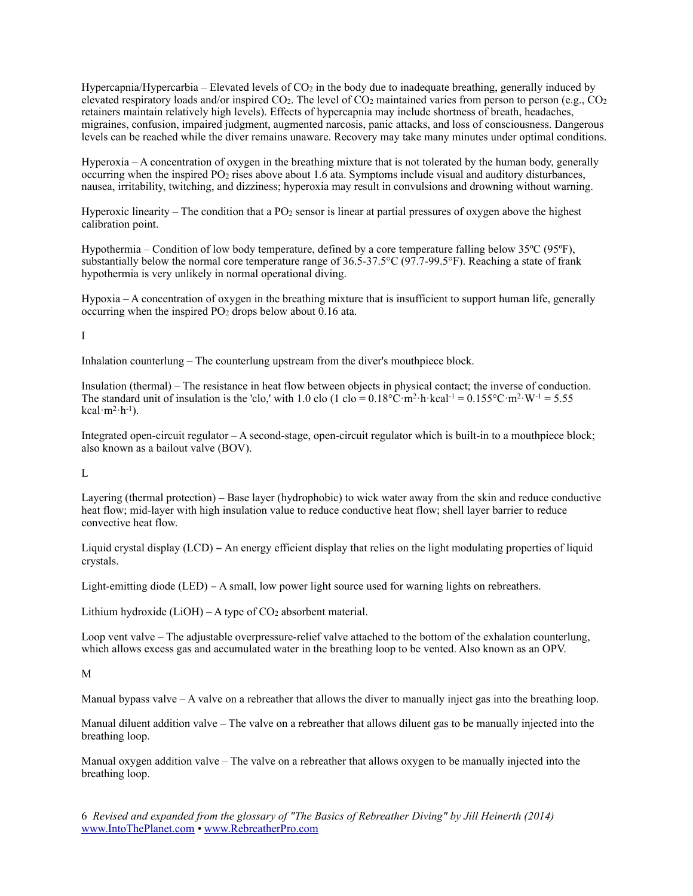Hypercapnia/Hypercarbia – Elevated levels of  $CO<sub>2</sub>$  in the body due to inadequate breathing, generally induced by elevated respiratory loads and/or inspired CO<sub>2</sub>. The level of CO<sub>2</sub> maintained varies from person to person (e.g., CO<sub>2</sub>) retainers maintain relatively high levels). Effects of hypercapnia may include shortness of breath, headaches, migraines, confusion, impaired judgment, augmented narcosis, panic attacks, and loss of consciousness. Dangerous levels can be reached while the diver remains unaware. Recovery may take many minutes under optimal conditions.

Hyperoxia – A concentration of oxygen in the breathing mixture that is not tolerated by the human body, generally occurring when the inspired PO<sub>2</sub> rises above about 1.6 ata. Symptoms include visual and auditory disturbances, nausea, irritability, twitching, and dizziness; hyperoxia may result in convulsions and drowning without warning.

Hyperoxic linearity – The condition that a PO<sub>2</sub> sensor is linear at partial pressures of oxygen above the highest calibration point.

Hypothermia – Condition of low body temperature, defined by a core temperature falling below 35ºC (95ºF), substantially below the normal core temperature range of 36.5-37.5°C (97.7-99.5°F). Reaching a state of frank hypothermia is very unlikely in normal operational diving.

Hypoxia – A concentration of oxygen in the breathing mixture that is insufficient to support human life, generally occurring when the inspired PO2 drops below about 0.16 ata.

# I

Inhalation counterlung – The counterlung upstream from the diver's mouthpiece block.

Insulation (thermal) – The resistance in heat flow between objects in physical contact; the inverse of conduction. The standard unit of insulation is the 'clo,' with 1.0 clo (1 clo =  $0.18^{\circ}$ C·m<sup>2</sup>·h·kcal<sup>-1</sup> =  $0.155^{\circ}$ C·m<sup>2</sup>·W<sup>-1</sup> =  $5.55$ kcal·m<sup>2</sup>·h<sup>-1</sup>).

Integrated open-circuit regulator – A second-stage, open-circuit regulator which is built-in to a mouthpiece block; also known as a bailout valve (BOV).

 $\mathbf{L}$ 

Layering (thermal protection) – Base layer (hydrophobic) to wick water away from the skin and reduce conductive heat flow; mid-layer with high insulation value to reduce conductive heat flow; shell layer barrier to reduce convective heat flow.

Liquid crystal display (LCD) − An energy efficient display that relies on the light modulating properties of liquid crystals.

Light-emitting diode (LED) − A small, low power light source used for warning lights on rebreathers.

Lithium hydroxide (LiOH) – A type of  $CO<sub>2</sub>$  absorbent material.

Loop vent valve – The adjustable overpressure-relief valve attached to the bottom of the exhalation counterlung, which allows excess gas and accumulated water in the breathing loop to be vented. Also known as an OPV.

### M

Manual bypass valve – A valve on a rebreather that allows the diver to manually inject gas into the breathing loop.

Manual diluent addition valve – The valve on a rebreather that allows diluent gas to be manually injected into the breathing loop.

Manual oxygen addition valve – The valve on a rebreather that allows oxygen to be manually injected into the breathing loop.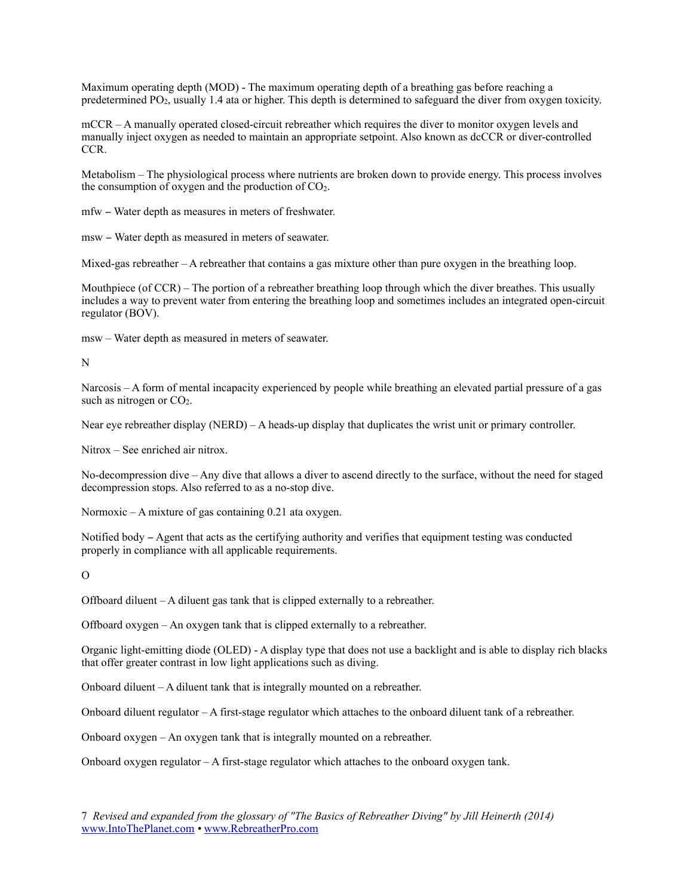Maximum operating depth (MOD) - The maximum operating depth of a breathing gas before reaching a predetermined PO2, usually 1.4 ata or higher. This depth is determined to safeguard the diver from oxygen toxicity.

mCCR – A manually operated closed-circuit rebreather which requires the diver to monitor oxygen levels and manually inject oxygen as needed to maintain an appropriate setpoint. Also known as dcCCR or diver-controlled CCR.

Metabolism – The physiological process where nutrients are broken down to provide energy. This process involves the consumption of oxygen and the production of CO2.

mfw − Water depth as measures in meters of freshwater.

msw – Water depth as measured in meters of seawater.

Mixed-gas rebreather – A rebreather that contains a gas mixture other than pure oxygen in the breathing loop.

Mouthpiece (of CCR) – The portion of a rebreather breathing loop through which the diver breathes. This usually includes a way to prevent water from entering the breathing loop and sometimes includes an integrated open-circuit regulator (BOV).

msw – Water depth as measured in meters of seawater.

N

Narcosis – A form of mental incapacity experienced by people while breathing an elevated partial pressure of a gas such as nitrogen or  $CO<sub>2</sub>$ .

Near eye rebreather display (NERD) – A heads-up display that duplicates the wrist unit or primary controller.

Nitrox – See enriched air nitrox.

No-decompression dive – Any dive that allows a diver to ascend directly to the surface, without the need for staged decompression stops. Also referred to as a no-stop dive.

Normoxic – A mixture of gas containing 0.21 ata oxygen.

Notified body − Agent that acts as the certifying authority and verifies that equipment testing was conducted properly in compliance with all applicable requirements.

O

Offboard diluent – A diluent gas tank that is clipped externally to a rebreather.

Offboard oxygen – An oxygen tank that is clipped externally to a rebreather.

Organic light-emitting diode (OLED) - A display type that does not use a backlight and is able to display rich blacks that offer greater contrast in low light applications such as diving.

Onboard diluent – A diluent tank that is integrally mounted on a rebreather.

Onboard diluent regulator – A first-stage regulator which attaches to the onboard diluent tank of a rebreather.

Onboard oxygen – An oxygen tank that is integrally mounted on a rebreather.

Onboard oxygen regulator – A first-stage regulator which attaches to the onboard oxygen tank.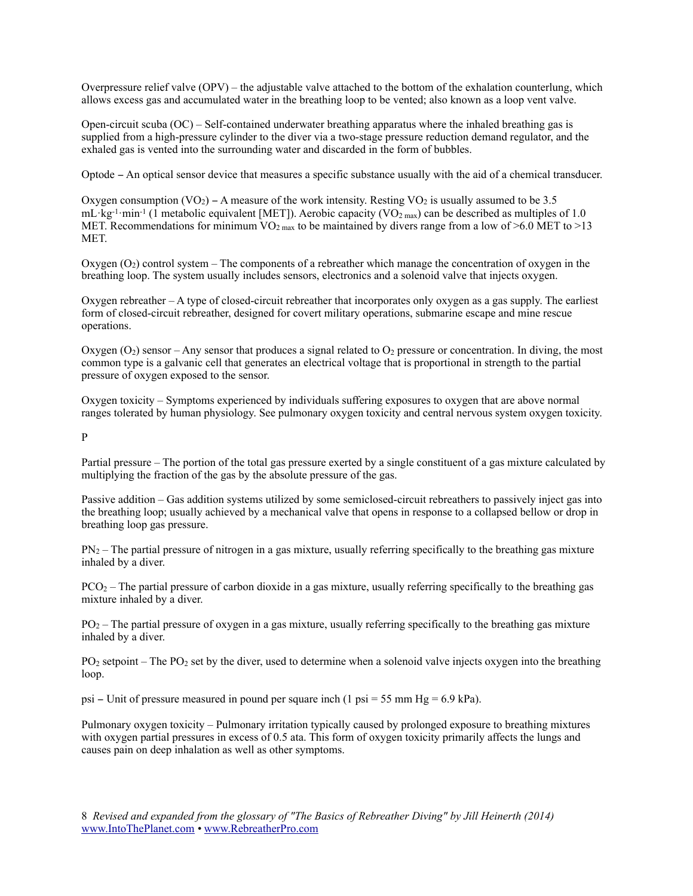Overpressure relief valve (OPV) – the adjustable valve attached to the bottom of the exhalation counterlung, which allows excess gas and accumulated water in the breathing loop to be vented; also known as a loop vent valve.

Open-circuit scuba (OC) – Self-contained underwater breathing apparatus where the inhaled breathing gas is supplied from a high-pressure cylinder to the diver via a two-stage pressure reduction demand regulator, and the exhaled gas is vented into the surrounding water and discarded in the form of bubbles.

Optode − An optical sensor device that measures a specific substance usually with the aid of a chemical transducer.

Oxygen consumption (VO<sub>2</sub>) – A measure of the work intensity. Resting VO<sub>2</sub> is usually assumed to be 3.5 mL·kg<sup>-1</sup>·min<sup>-1</sup> (1 metabolic equivalent [MET]). Aerobic capacity (VO<sub>2 max</sub>) can be described as multiples of 1.0 MET. Recommendations for minimum  $\overline{VO}_{2 \text{ max}}$  to be maintained by divers range from a low of >6.0 MET to >13 MET.

Oxygen  $(O_2)$  control system – The components of a rebreather which manage the concentration of oxygen in the breathing loop. The system usually includes sensors, electronics and a solenoid valve that injects oxygen.

Oxygen rebreather – A type of closed-circuit rebreather that incorporates only oxygen as a gas supply. The earliest form of closed-circuit rebreather, designed for covert military operations, submarine escape and mine rescue operations.

Oxygen  $(O_2)$  sensor – Any sensor that produces a signal related to  $O_2$  pressure or concentration. In diving, the most common type is a galvanic cell that generates an electrical voltage that is proportional in strength to the partial pressure of oxygen exposed to the sensor.

Oxygen toxicity – Symptoms experienced by individuals suffering exposures to oxygen that are above normal ranges tolerated by human physiology. See pulmonary oxygen toxicity and central nervous system oxygen toxicity.

P

Partial pressure – The portion of the total gas pressure exerted by a single constituent of a gas mixture calculated by multiplying the fraction of the gas by the absolute pressure of the gas.

Passive addition – Gas addition systems utilized by some semiclosed-circuit rebreathers to passively inject gas into the breathing loop; usually achieved by a mechanical valve that opens in response to a collapsed bellow or drop in breathing loop gas pressure.

 $PN_2$  – The partial pressure of nitrogen in a gas mixture, usually referring specifically to the breathing gas mixture inhaled by a diver.

 $PCO<sub>2</sub>$  – The partial pressure of carbon dioxide in a gas mixture, usually referring specifically to the breathing gas mixture inhaled by a diver.

 $PQ_2$  – The partial pressure of oxygen in a gas mixture, usually referring specifically to the breathing gas mixture inhaled by a diver.

 $PO<sub>2</sub>$  setpoint – The PO<sub>2</sub> set by the diver, used to determine when a solenoid valve injects oxygen into the breathing loop.

psi − Unit of pressure measured in pound per square inch (1 psi = 55 mm Hg = 6.9 kPa).

Pulmonary oxygen toxicity – Pulmonary irritation typically caused by prolonged exposure to breathing mixtures with oxygen partial pressures in excess of 0.5 ata. This form of oxygen toxicity primarily affects the lungs and causes pain on deep inhalation as well as other symptoms.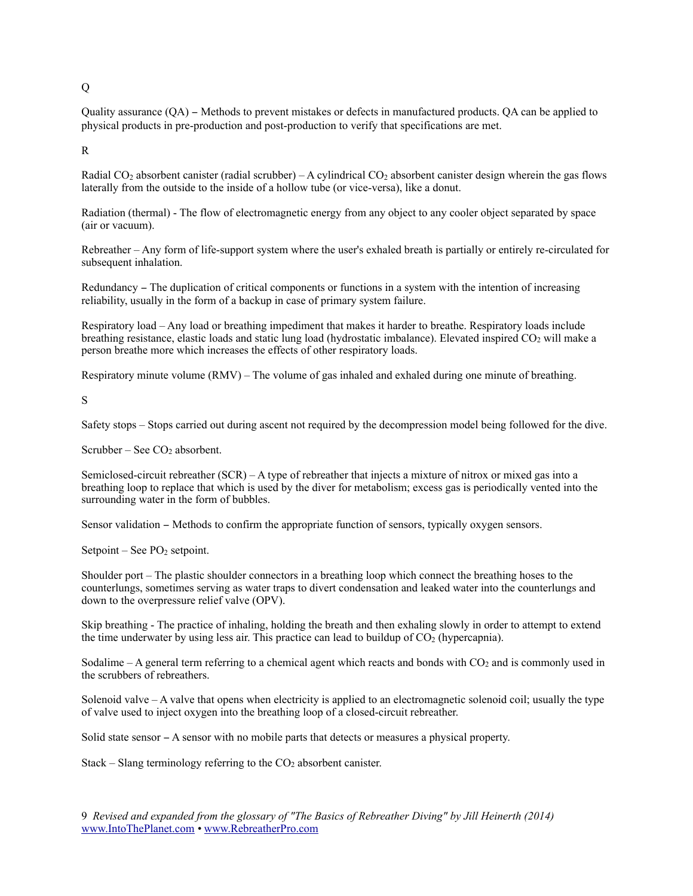Q

Quality assurance (QA) – Methods to prevent mistakes or defects in manufactured products. QA can be applied to physical products in pre-production and post-production to verify that specifications are met.

R

Radial  $CO_2$  absorbent canister (radial scrubber) – A cylindrical  $CO_2$  absorbent canister design wherein the gas flows laterally from the outside to the inside of a hollow tube (or vice-versa), like a donut.

Radiation (thermal) - The flow of electromagnetic energy from any object to any cooler object separated by space (air or vacuum).

Rebreather – Any form of life-support system where the user's exhaled breath is partially or entirely re-circulated for subsequent inhalation.

Redundancy − The duplication of critical components or functions in a system with the intention of increasing reliability, usually in the form of a backup in case of primary system failure.

Respiratory load – Any load or breathing impediment that makes it harder to breathe. Respiratory loads include breathing resistance, elastic loads and static lung load (hydrostatic imbalance). Elevated inspired CO2 will make a person breathe more which increases the effects of other respiratory loads.

Respiratory minute volume (RMV) – The volume of gas inhaled and exhaled during one minute of breathing.

S

Safety stops – Stops carried out during ascent not required by the decompression model being followed for the dive.

Scrubber – See CO2 absorbent.

Semiclosed-circuit rebreather (SCR) – A type of rebreather that injects a mixture of nitrox or mixed gas into a breathing loop to replace that which is used by the diver for metabolism; excess gas is periodically vented into the surrounding water in the form of bubbles.

Sensor validation − Methods to confirm the appropriate function of sensors, typically oxygen sensors.

Setpoint – See  $PO<sub>2</sub>$  setpoint.

Shoulder port – The plastic shoulder connectors in a breathing loop which connect the breathing hoses to the counterlungs, sometimes serving as water traps to divert condensation and leaked water into the counterlungs and down to the overpressure relief valve (OPV).

Skip breathing - The practice of inhaling, holding the breath and then exhaling slowly in order to attempt to extend the time underwater by using less air. This practice can lead to buildup of  $CO<sub>2</sub>$  (hypercapnia).

Sodalime  $-A$  general term referring to a chemical agent which reacts and bonds with  $CO<sub>2</sub>$  and is commonly used in the scrubbers of rebreathers.

Solenoid valve – A valve that opens when electricity is applied to an electromagnetic solenoid coil; usually the type of valve used to inject oxygen into the breathing loop of a closed-circuit rebreather.

Solid state sensor − A sensor with no mobile parts that detects or measures a physical property.

Stack – Slang terminology referring to the  $CO<sub>2</sub>$  absorbent canister.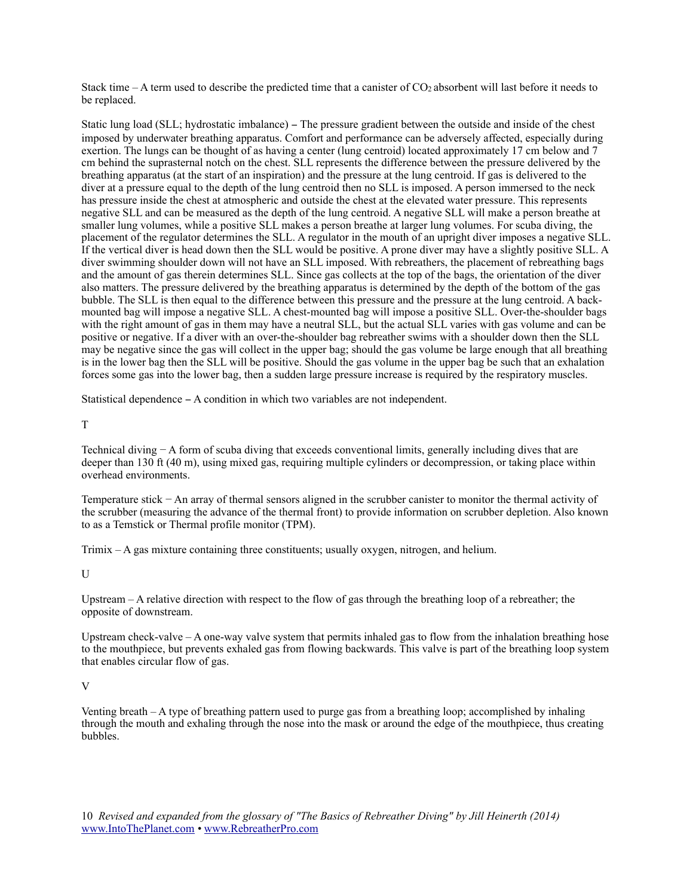Stack time  $-A$  term used to describe the predicted time that a canister of  $CO<sub>2</sub>$  absorbent will last before it needs to be replaced.

Static lung load (SLL; hydrostatic imbalance) − The pressure gradient between the outside and inside of the chest imposed by underwater breathing apparatus. Comfort and performance can be adversely affected, especially during exertion. The lungs can be thought of as having a center (lung centroid) located approximately 17 cm below and 7 cm behind the suprasternal notch on the chest. SLL represents the difference between the pressure delivered by the breathing apparatus (at the start of an inspiration) and the pressure at the lung centroid. If gas is delivered to the diver at a pressure equal to the depth of the lung centroid then no SLL is imposed. A person immersed to the neck has pressure inside the chest at atmospheric and outside the chest at the elevated water pressure. This represents negative SLL and can be measured as the depth of the lung centroid. A negative SLL will make a person breathe at smaller lung volumes, while a positive SLL makes a person breathe at larger lung volumes. For scuba diving, the placement of the regulator determines the SLL. A regulator in the mouth of an upright diver imposes a negative SLL. If the vertical diver is head down then the SLL would be positive. A prone diver may have a slightly positive SLL. A diver swimming shoulder down will not have an SLL imposed. With rebreathers, the placement of rebreathing bags and the amount of gas therein determines SLL. Since gas collects at the top of the bags, the orientation of the diver also matters. The pressure delivered by the breathing apparatus is determined by the depth of the bottom of the gas bubble. The SLL is then equal to the difference between this pressure and the pressure at the lung centroid. A backmounted bag will impose a negative SLL. A chest-mounted bag will impose a positive SLL. Over-the-shoulder bags with the right amount of gas in them may have a neutral SLL, but the actual SLL varies with gas volume and can be positive or negative. If a diver with an over-the-shoulder bag rebreather swims with a shoulder down then the SLL may be negative since the gas will collect in the upper bag; should the gas volume be large enough that all breathing is in the lower bag then the SLL will be positive. Should the gas volume in the upper bag be such that an exhalation forces some gas into the lower bag, then a sudden large pressure increase is required by the respiratory muscles.

Statistical dependence − A condition in which two variables are not independent.

T

Technical diving − A form of scuba diving that exceeds conventional limits, generally including dives that are deeper than 130 ft (40 m), using mixed gas, requiring multiple cylinders or decompression, or taking place within overhead environments.

Temperature stick − An array of thermal sensors aligned in the scrubber canister to monitor the thermal activity of the scrubber (measuring the advance of the thermal front) to provide information on scrubber depletion. Also known to as a Temstick or Thermal profile monitor (TPM).

Trimix – A gas mixture containing three constituents; usually oxygen, nitrogen, and helium.

U

Upstream – A relative direction with respect to the flow of gas through the breathing loop of a rebreather; the opposite of downstream.

Upstream check-valve  $-A$  one-way valve system that permits inhaled gas to flow from the inhalation breathing hose to the mouthpiece, but prevents exhaled gas from flowing backwards. This valve is part of the breathing loop system that enables circular flow of gas.

### V

Venting breath – A type of breathing pattern used to purge gas from a breathing loop; accomplished by inhaling through the mouth and exhaling through the nose into the mask or around the edge of the mouthpiece, thus creating bubbles.